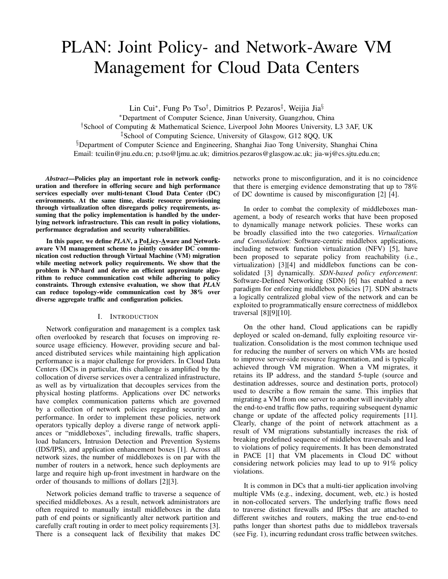# PLAN: Joint Policy- and Network-Aware VM Management for Cloud Data Centers

Lin Cui<sup>∗</sup> , Fung Po Tso† , Dimitrios P. Pezaros‡ , Weijia Jia§

<sup>∗</sup>Department of Computer Science, Jinan University, Guangzhou, China

†School of Computing & Mathematical Science, Liverpool John Moores University, L3 3AF, UK

‡School of Computing Science, University of Glasgow, G12 8QQ, UK

§Department of Computer Science and Engineering, Shanghai Jiao Tong University, Shanghai China Email: tcuilin@jnu.edu.cn; p.tso@ljmu.ac.uk; dimitrios.pezaros@glasgow.ac.uk; jia-wj@cs.sjtu.edu.cn;

*Abstract*—Policies play an important role in network configuration and therefore in offering secure and high performance services especially over multi-tenant Cloud Data Center (DC) environments. At the same time, elastic resource provisioning through virtualization often disregards policy requirements, assuming that the policy implementation is handled by the underlying network infrastructure. This can result in policy violations, performance degradation and security vulnerabilities.

In this paper, we define *PLAN*, a PoLicy-Aware and Networkaware VM management scheme to jointly consider DC communication cost reduction through Virtual Machine (VM) migration while meeting network policy requirements. We show that the problem is NP-hard and derive an efficient approximate algorithm to reduce communication cost while adhering to policy constraints. Through extensive evaluation, we show that *PLAN* can reduce topology-wide communication cost by 38% over diverse aggregate traffic and configuration policies.

## I. INTRODUCTION

Network configuration and management is a complex task often overlooked by research that focuses on improving resource usage efficiency. However, providing secure and balanced distributed services while maintaining high application performance is a major challenge for providers. In Cloud Data Centers (DC)s in particular, this challenge is amplified by the collocation of diverse services over a centralized infrastructure, as well as by virtualization that decouples services from the physical hosting platforms. Applications over DC networks have complex communication patterns which are governed by a collection of network policies regarding security and performance. In order to implement these policies, network operators typically deploy a diverse range of network appliances or "middleboxes", including firewalls, traffic shapers, load balancers, Intrusion Detection and Prevention Systems (IDS/IPS), and application enhancement boxes [1]. Across all network sizes, the number of middleboxes is on par with the number of routers in a network, hence such deployments are large and require high up-front investment in hardware on the order of thousands to millions of dollars [2][3].

Network policies demand traffic to traverse a sequence of specified middleboxes. As a result, network administrators are often required to manually install middleboxes in the data path of end points or significantly alter network partition and carefully craft routing in order to meet policy requirements [3]. There is a consequent lack of flexibility that makes DC networks prone to misconfiguration, and it is no coincidence that there is emerging evidence demonstrating that up to 78% of DC downtime is caused by misconfiguration [2] [4].

In order to combat the complexity of middleboxes management, a body of research works that have been proposed to dynamically manage network policies. These works can be broadly classified into the two categories. *Virtualization and Consolidation*: Software-centric middlebox applications, including network function virtualization (NFV) [5], have been proposed to separate policy from reachability (i.e., virtualization) [3][4] and middlebox functions can be consolidated [3] dynamically. *SDN-based policy enforcement*: Software-Defined Networking (SDN) [6] has enabled a new paradigm for enforcing middlebox policies [7]. SDN abstracts a logically centralized global view of the network and can be exploited to programmatically ensure correctness of middlebox traversal [8][9][10].

On the other hand, Cloud applications can be rapidly deployed or scaled on-demand, fully exploiting resource virtualization. Consolidation is the most common technique used for reducing the number of servers on which VMs are hosted to improve server-side resource fragmentation, and is typically achieved through VM migration. When a VM migrates, it retains its IP address, and the standard 5-tuple (source and destination addresses, source and destination ports, protocol) used to describe a flow remain the same. This implies that migrating a VM from one server to another will inevitably alter the end-to-end traffic flow paths, requiring subsequent dynamic change or update of the affected policy requirements [11]. Clearly, change of the point of network attachment as a result of VM migrations substantially increases the risk of breaking predefined sequence of middlebox traversals and lead to violations of policy requirements. It has been demonstrated in PACE [1] that VM placements in Cloud DC without considering network policies may lead to up to 91% policy violations.

It is common in DCs that a multi-tier application involving multiple VMs (e.g., indexing, document, web, etc.) is hosted in non-collocated servers. The underlying traffic flows need to traverse distinct firewalls and IPSes that are attached to different switches and routers, making the true end-to-end paths longer than shortest paths due to middlebox traversals (see Fig. 1), incurring redundant cross traffic between switches.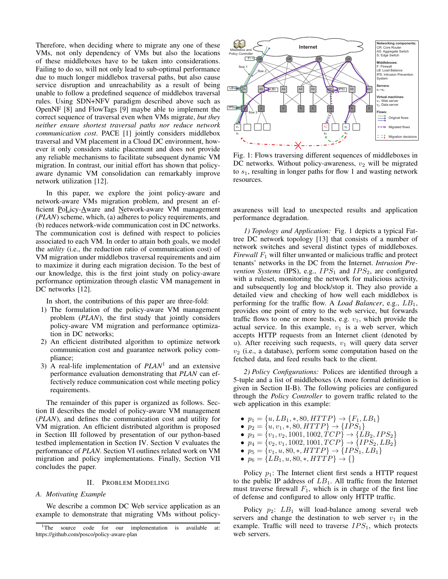Therefore, when deciding where to migrate any one of these VMs, not only dependency of VMs but also the locations of these middleboxes have to be taken into considerations. Failing to do so, will not only lead to sub-optimal performance due to much longer middlebox traversal paths, but also cause service disruption and unreachability as a result of being unable to follow a predefined sequence of middlebox traversal rules. Using SDN+NFV paradigm described above such as OpenNF [8] and FlowTags [9] maybe able to implement the correct sequence of traversal even when VMs migrate, *but they neither ensure shortest traversal paths nor reduce network communication cost*. PACE [1] jointly considers middlebox traversal and VM placement in a Cloud DC environment, however it only considers static placement and does not provide any reliable mechanisms to facilitate subsequent dynamic VM migration. In contrast, our initial effort has shown that policyaware dynamic VM consolidation can remarkably improve network utilization [12].

In this paper, we explore the joint policy-aware and network-aware VMs migration problem, and present an efficient PoLicy-Aware and Network-aware VM management (*PLAN*) scheme, which, (a) adheres to policy requirements, and (b) reduces network-wide communication cost in DC networks. The communication cost is defined with respect to policies associated to each VM. In order to attain both goals, we model the *utility* (i.e., the reduction ratio of communication cost) of VM migration under middlebox traversal requirements and aim to maximize it during each migration decision. To the best of our knowledge, this is the first joint study on policy-aware performance optimization through elastic VM management in DC networks [12].

In short, the contributions of this paper are three-fold:

- 1) The formulation of the policy-aware VM management problem (*PLAN*), the first study that jointly considers policy-aware VM migration and performance optimization in DC networks;
- 2) An efficient distributed algorithm to optimize network communication cost and guarantee network policy compliance;
- 3) A real-life implementation of *PLAN*<sup>1</sup> and an extensive performance evaluation demonstrating that *PLAN* can effectively reduce communication cost while meeting policy requirements.

The remainder of this paper is organized as follows. Section II describes the model of policy-aware VM management (*PLAN*), and defines the communication cost and utility for VM migration. An efficient distributed algorithm is proposed in Section III followed by presentation of our python-based testbed implementation in Section IV. Section V evaluates the performance of *PLAN*. Section VI outlines related work on VM migration and policy implementations. Finally, Section VII concludes the paper.

### II. PROBLEM MODELING

## *A. Motivating Example*

We describe a common DC Web service application as an example to demonstrate that migrating VMs without policy-



Fig. 1: Flows traversing different sequences of middleboxes in DC networks. Without policy-awareness,  $v_2$  will be migrated to  $s<sub>1</sub>$ , resulting in longer paths for flow 1 and wasting network resources.

awareness will lead to unexpected results and application performance degradation.

*1) Topology and Application:* Fig. 1 depicts a typical Fattree DC network topology [13] that consists of a number of network switches and several distinct types of middleboxes. *Firewall*  $F_1$  will filter unwanted or malicious traffic and protect tenants' networks in the DC from the Internet. *Intrusion Prevention Systems* (IPS), e.g.,  $IPS_1$  and  $IPS_2$ , are configured with a ruleset, monitoring the network for malicious activity, and subsequently log and block/stop it. They also provide a detailed view and checking of how well each middlebox is performing for the traffic flow. A *Load Balancer*, e.g., LB1, provides one point of entry to the web service, but forwards traffic flows to one or more hosts, e.g.  $v_1$ , which provide the actual service. In this example,  $v_1$  is a web server, which accepts HTTP requests from an Internet client (denoted by u). After receiving such requests,  $v_1$  will query data server  $v_2$  (i.e., a database), perform some computation based on the fetched data, and feed results back to the client.

*2) Policy Configurations:* Polices are identified through a 5-tuple and a list of middleboxes (A more formal definition is given in Section II-B). The following policies are configured through the *Policy Controller* to govern traffic related to the web application in this example:

- $p_1 = \{u, LB_1, *, 80, HTTP\} \rightarrow \{F_1, LB_1\}$
- $p_2 = \{u, v_1, *, 80, HTTP\} \rightarrow \{IPS_1\}$
- $p_3 = \{v_1, v_2, 1001, 1002, TCP\} \rightarrow \{LB_2, IPS_2\}$
- $p_4 = \{v_2, v_1, 1002, 1001, TCP\} \rightarrow \{IPS_2, LB_2\}$
- $p_5 = \{v_1, u, 80, *, HTTP\} \rightarrow \{IPS_1, LB_1\}$
- $p_6 = \{LB_1, u, 80, *, HTTP\} \rightarrow \{\}$

Policy  $p_1$ : The Internet client first sends a HTTP request to the public IP address of  $LB_1$ . All traffic from the Internet must traverse firewall  $F_1$ , which is in charge of the first line of defense and configured to allow only HTTP traffic.

Policy  $p_2$ :  $LB_1$  will load-balance among several web servers and change the destination to web server  $v_1$  in the example. Traffic will need to traverse  $IPS<sub>1</sub>$ , which protects web servers.

<sup>&</sup>lt;sup>1</sup>The source code for our implementation is available at: https://github.com/posco/policy-aware-plan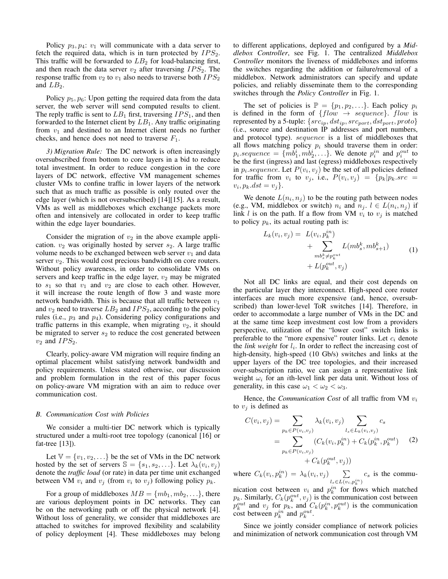Policy  $p_3, p_4$ :  $v_1$  will communicate with a data server to fetch the required data, which is in turn protected by  $IPS_2$ . This traffic will be forwarded to  $LB<sub>2</sub>$  for load-balancing first, and then reach the data server  $v_2$  after traversing  $IPS_2$ . The response traffic from  $v_2$  to  $v_1$  also needs to traverse both  $IPS_2$ and  $LB_2$ .

Policy  $p_5, p_6$ : Upon getting the required data from the data server, the web server will send computed results to client. The reply traffic is sent to  $LB_1$  first, traversing  $IPS_1$ , and then forwarded to the Internet client by  $LB_1$ . Any traffic originating from  $v_1$  and destined to an Internet client needs no further checks, and hence does not need to traverse  $F_1$ .

*3) Migration Rule:* The DC network is often increasingly oversubscribed from bottom to core layers in a bid to reduce total investment. In order to reduce congestion in the core layers of DC network, effective VM management schemes cluster VMs to confine traffic in lower layers of the network such that as much traffic as possible is only routed over the edge layer (which is not oversubscribed) [14][15]. As a result, VMs as well as middleboxes which exchange packets more often and intensively are collocated in order to keep traffic within the edge layer boundaries.

Consider the migration of  $v_2$  in the above example application.  $v_2$  was originally hosted by server  $s_2$ . A large traffic volume needs to be exchanged between web server  $v_1$  and data server  $v_2$ . This would cost precious bandwidth on core routers. Without policy awareness, in order to consolidate VMs on servers and keep traffic in the edge layer,  $v_2$  may be migrated to  $s_1$  so that  $v_1$  and  $v_2$  are close to each other. However, it will increase the route length of flow 3 and waste more network bandwidth. This is because that all traffic between  $v_1$ and  $v_2$  need to traverse  $LB_2$  and  $IPS_2$ , according to the policy rules (i.e.,  $p_3$  and  $p_4$ ). Considering policy configurations and traffic patterns in this example, when migrating  $v_2$ , it should be migrated to server  $s_2$  to reduce the cost generated between  $v_2$  and  $IPS_2$ .

Clearly, policy-aware VM migration will require finding an optimal placement whilst satisfying network bandwidth and policy requirements. Unless stated otherwise, our discussion and problem formulation in the rest of this paper focus on policy-aware VM migration with an aim to reduce over communication cost.

#### *B. Communication Cost with Policies*

We consider a multi-tier DC network which is typically structured under a multi-root tree topology (canonical [16] or fat-tree [13]).

Let  $\mathbb{V} = \{v_1, v_2, \ldots\}$  be the set of VMs in the DC network hosted by the set of servers  $\mathbb{S} = \{s_1, s_2, \ldots\}$ . Let  $\lambda_k(v_i, v_j)$ denote the *traffic load* (or rate) in data per time unit exchanged between VM  $v_i$  and  $v_j$  (from  $v_i$  to  $v_j$ ) following policy  $p_k$ .

For a group of middleboxes  $MB = \{mb_1, mb_2, ...\}$ , there are various deployment points in DC networks. They can be on the networking path or off the physical network [4]. Without loss of generality, we consider that middleboxes are attached to switches for improved flexibility and scalability of policy deployment [4]. These middleboxes may belong to different applications, deployed and configured by a *Middlebox Controller*, see Fig. 1. The centralized *Middlebox Controller* monitors the liveness of middleboxes and informs the switches regarding the addition or failure/removal of a middlebox. Network administrators can specify and update policies, and reliably disseminate them to the corresponding switches through the *Policy Controller* in Fig. 1.

The set of policies is  $\mathbb{P} = \{p_1, p_2, \ldots\}$ . Each policy  $p_i$ is defined in the form of  $\{flow \rightarrow sequence\}$ . flow is represented by a 5-tuple:  $\{src_{ip}, dst_{ip}, src_{port}, dst_{port}, proto\}$ (i.e., source and destination IP addresses and port numbers, and protocol type). sequence is a list of middleboxes that all flows matching policy  $p_i$  should traverse them in order:  $p_i$  sequence  $= \{m\overline{b_1^i}, m\overline{b_2^i}, \ldots\}$ . We denote  $p_i^{in}$  and  $p_i^{out}$  to be the first (ingress) and last (egress) middleboxes respectively in  $p_i$  sequence. Let  $P(v_i, v_j)$  be the set of all policies defined for traffic from  $v_i$  to  $v_j$ , i.e.,  $P(v_i, v_j) = \{p_k | p_k \text{.} src =$  $v_i, p_k. dst = v_j$ .

We denote  $L(n_i, n_j)$  to be the routing path between nodes (e.g., VM, middlebox or switch)  $n_i$  and  $n_j$ .  $l \in L(n_i, n_j)$  if link l is on the path. If a flow from VM  $v_i$  to  $v_j$  is matched to policy  $p_k$ , its actual routing path is:

$$
L_k(v_i, v_j) = L(v_i, p_k^{in}) + \sum_{\substack{mb_s^k \neq p_k^{out} \\ mb_s^k \neq p_k^{out}}} L(mb_s^k, mb_{s+1}^k) + L(p_k^{out}, v_j)
$$
 (1)

Not all DC links are equal, and their cost depends on the particular layer they interconnect. High-speed core router interfaces are much more expensive (and, hence, oversubscribed) than lower-level ToR switches [14]. Therefore, in order to accommodate a large number of VMs in the DC and at the same time keep investment cost low from a providers perspective, utilization of the "lower cost" switch links is preferable to the "more expensive" router links. Let  $c_i$  denote the *link weight* for  $l_i$ . In order to reflect the increasing cost of high-density, high-speed (10 Gb/s) switches and links at the upper layers of the DC tree topologies, and their increased over-subscription ratio, we can assign a representative link weight  $\omega_i$  for an *i*th-level link per data unit. Without loss of generality, in this case  $\omega_1 < \omega_2 < \omega_3$ .

Hence, the *Communication Cost* of all traffic from VM  $v_i$ to  $v_i$  is defined as

$$
C(v_i, v_j) = \sum_{p_k \in P(v_i, v_j)} \lambda_k(v_i, v_j) \sum_{l_s \in L_k(v_i, v_j)} c_s
$$
  
= 
$$
\sum_{p_k \in P(v_i, v_j)} (C_k(v_i, p_k^{in}) + C_k(p_k^{in}, p_k^{out})
$$
 (2)  
+ 
$$
C_k(p_k^{out}, v_j))
$$

where  $C_k(v_i, p_k^{in}) = \lambda_k(v_i, v_j)$   $\sum$  $l_s \in L(v_i, p_k^{in})$  $c_s$  is the commu-

nication cost between  $v_i$  and  $p_k^{in}$  for flows which matched  $p_k$ . Similarly,  $C_k(p_k^{out}, v_j)$  is the communication cost between  $p_k^{out}$  and  $v_j$  for  $p_k$ , and  $C_k(p_k^{in}, p_k^{out})$  is the communication cost between  $p_k^{in}$  and  $p_k^{out}$ .

Since we jointly consider compliance of network policies and minimization of network communication cost through VM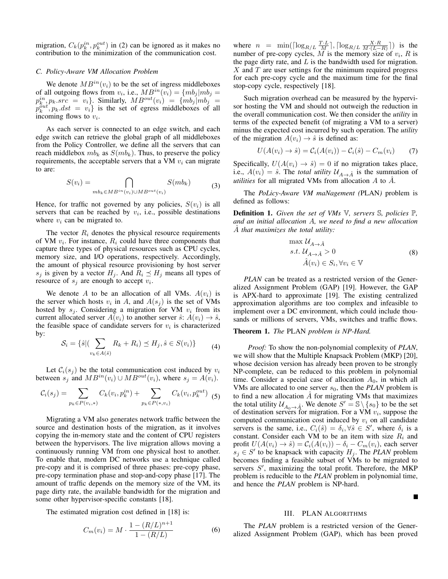migration,  $C_k(p_k^{in}, p_k^{out})$  in (2) can be ignored as it makes no contribution to the minimization of the communication cost.

# *C. Policy-Aware VM Allocation Problem*

We denote  $MB^{in}(v_i)$  to be the set of ingress middleboxes of all outgoing flows from  $v_i$ , i.e.,  $MB^{in}(v_i) = \{mb_j | mb_j =$  $p_k^{in}, p_k$ ,  $src = v_i$ . Similarly,  $MB^{out}(v_i) = \{mb_j | mb_j \}$  $p_k^{out}, p_k.dst = v_i\}$  is the set of egress middleboxes of all incoming flows to  $v_i$ .

As each server is connected to an edge switch, and each edge switch can retrieve the global graph of all middleboxes from the Policy Controller, we define all the servers that can reach middlebox  $mb_k$  as  $S(mb_k)$ . Thus, to preserve the policy requirements, the acceptable servers that a VM  $v_i$  can migrate to are:

$$
S(v_i) = \bigcap_{mb_k \in MB^{in}(v_i) \cup MB^{out}(v_i)} S(mb_k) \tag{3}
$$

Hence, for traffic not governed by any policies,  $S(v_i)$  is all servers that can be reached by  $v_i$ , i.e., possible destinations where  $v_i$  can be migrated to.

The vector  $R_i$  denotes the physical resource requirements of VM  $v_i$ . For instance,  $R_i$  could have three components that capture three types of physical resources such as CPU cycles, memory size, and I/O operations, respectively. Accordingly, the amount of physical resource provisioning by host server  $s_j$  is given by a vector  $H_j$ . And  $R_i \preceq H_j$  means all types of resource of  $s_j$  are enough to accept  $v_i$ .

We denote A to be an allocation of all VMs.  $A(v_i)$  is the server which hosts  $v_i$  in A, and  $A(s_j)$  is the set of VMs hosted by  $s_j$ . Considering a migration for VM  $v_i$  from its current allocated server  $A(v_i)$  to another server  $\hat{s}$ :  $A(v_i) \rightarrow \hat{s}$ , the feasible space of candidate servers for  $v_i$  is characterized by:

$$
\mathcal{S}_i = \{\hat{s} | (\sum_{v_k \in A(\hat{s})} R_k + R_i) \preceq H_j, \hat{s} \in S(v_i) \}
$$
(4)

Let  $\mathcal{C}_i(s_i)$  be the total communication cost induced by  $v_i$ between  $s_j$  and  $MB^{in}(v_i) \cup MB^{out}(v_i)$ , where  $s_j = A(v_i)$ .

$$
C_i(s_j) = \sum_{p_k \in P(v_i, *)} C_k(v_i, p_k^{in}) + \sum_{p_k \in P(*, v_i)} C_k(v_i, p_k^{out})
$$
(5)

Migrating a VM also generates network traffic between the source and destination hosts of the migration, as it involves copying the in-memory state and the content of CPU registers between the hypervisors. The live migration allows moving a continuously running VM from one physical host to another. To enable that, modern DC networks use a technique called pre-copy and it is comprised of three phases: pre-copy phase, pre-copy termination phase and stop-and-copy phase [17]. The amount of traffic depends on the memory size of the VM, its page dirty rate, the available bandwidth for the migration and some other hypervisor-specific constants [18].

The estimated migration cost defined in [18] is:

$$
C_m(v_i) = M \cdot \frac{1 - (R/L)^{n+1}}{1 - (R/L)}
$$
 (6)

where  $n = \min\left(\lceil \log_{R/L} \frac{T \cdot L}{M} \rceil, \lceil \log_{R/L} \frac{X \cdot R}{M \cdot (L-R)} \rceil\right)$  is the number of pre-copy cycles,  $M$  is the memory size of  $v_i$ ,  $R$  is the page dirty rate, and  $L$  is the bandwidth used for migration.  $X$  and  $T$  are user settings for the minimum required progress for each pre-copy cycle and the maximum time for the final stop-copy cycle, respectively [18].

Such migration overhead can be measured by the hypervisor hosting the VM and should not outweigh the reduction in the overall communication cost. We then consider the *utility* in terms of the expected benefit (of migrating a VM to a server) minus the expected cost incurred by such operation. The *utility* of the migration  $A(v_i) \rightarrow \hat{s}$  is defined as:

$$
U(A(v_i) \to \hat{s}) = C_i(A(v_i)) - C_i(\hat{s}) - C_m(v_i) \tag{7}
$$

Specifically,  $U(A(v_i) \rightarrow \hat{s}) = 0$  if no migration takes place, i.e.,  $A(v_i) = \hat{s}$ . The *total utility*  $\mathcal{U}_{A\rightarrow \hat{A}}$  is the summation of *utilities* for all migrated VMs from allocation  $\vec{A}$  to  $\vec{A}$ .

The *PoLicy-Aware VM maNagement (*PLAN*)* problem is defined as follows:

Definition 1. *Given the set of VMs* V*, servers* S*, policies* P*, and an initial allocation* A*, we need to find a new allocation* Aˆ *that maximizes the total utility:*

$$
\max_{s.t.} \mathcal{U}_{A \to \hat{A}} > 0
$$
  
s.t.  $\mathcal{U}_{A \to \hat{A}} > 0$   

$$
\hat{A}(v_i) \in S_i, \forall v_i \in \mathbb{V}
$$
 (8)

*PLAN* can be treated as a restricted version of the Generalized Assignment Problem (GAP) [19]. However, the GAP is APX-hard to approximate [19]. The existing centralized approximation algorithms are too complex and infeasible to implement over a DC environment, which could include thousands or millions of servers, VMs, switches and traffic flows.

#### Theorem 1. *The* PLAN *problem is NP-Hard.*

*Proof:* To show the non-polynomial complexity of *PLAN*, we will show that the Multiple Knapsack Problem (MKP) [20], whose decision version has already been proven to be strongly NP-complete, can be reduced to this problem in polynomial time. Consider a special case of allocation  $A_0$ , in which all VMs are allocated to one server  $s_0$ , then the *PLAN* problem is to find a new allocation  $\overline{A}$  for migrating VMs that maximizes the total utility  $\mathcal{U}_{A_0 \to \hat{A}}$ . We denote  $S' = \mathbb{S} \setminus \{s_0\}$  to be the set of destination servers for migration. For a VM  $v_i$ , suppose the computed communication cost induced by  $v_i$  on all candidate servers is the same, i.e.,  $C_i(\hat{s}) = \delta_i, \forall \hat{s} \in S'$ , where  $\delta_i$  is a constant. Consider each VM to be an item with size  $R_i$  and profit  $U(A(v_i) \rightarrow \hat{s}) = C_i(A(v_i)) - \delta_i - C_m(v_i)$ , each server  $s_j \in S'$  to be knapsack with capacity  $H_j$ . The *PLAN* problem becomes finding a feasible subset of VMs to be migrated to servers  $S'$ , maximizing the total profit. Therefore, the MKP problem is reducible to the *PLAN* problem in polynomial time, and hence the *PLAN* problem is NP-hard.

#### П

#### III. PLAN ALGORITHMS

The *PLAN* problem is a restricted version of the Generalized Assignment Problem (GAP), which has been proved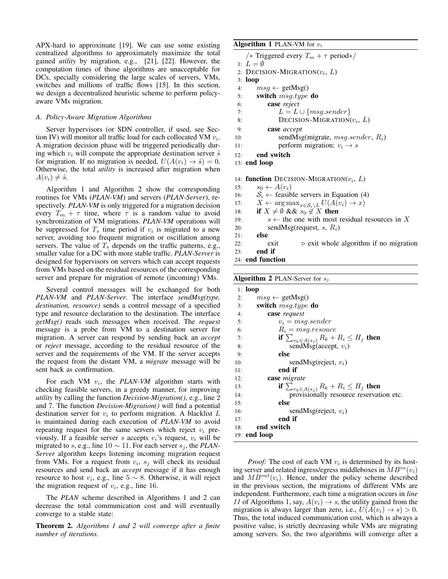APX-hard to approximate [19]. We can use some existing centralized algorithms to approximately maximize the total gained *utility* by migration, e.g., [21], [22]. However, the computation times of those algorithms are unacceptable for DCs, specially considering the large scales of servers, VMs, switches and millions of traffic flows [15]. In this section, we design a decentralized heuristic scheme to perform policyaware VMs migration.

### *A. Policy-Aware Migration Algorithms*

Server hypervisors (or SDN controller, if used, see Section IV) will monitor all traffic load for each collocated VM  $v_i$ . A migration decision phase will be triggered periodically during which  $v_i$  will compute the appropriate destination server  $\hat{s}$ for migration. If no migration is needed,  $U(A(v_i) \rightarrow \hat{s}) = 0$ . Otherwise, the total *utility* is increased after migration when  $A(v_i) \neq \hat{s}$ .

Algorithm 1 and Algorithm 2 show the corresponding routines for VMs (*PLAN-VM*) and servers (*PLAN-Server*), respectively. *PLAN-VM* is only triggered for a migration decision every  $T_m + \tau$  time, where  $\tau$  is a random value to avoid synchronization of VM migrations. *PLAN-VM* operations will be suppressed for  $T_s$  time period if  $v_i$  is migrated to a new server, avoiding too frequent migration or oscillation among servers. The value of  $T<sub>s</sub>$  depends on the traffic patterns, e.g., smaller value for a DC with more stable traffic. *PLAN-Server* is designed for hypervisors on servers which can accept requests from VMs based on the residual resources of the corresponding server and prepare for migration of remote (incoming) VMs.

Several control messages will be exchanged for both *PLAN-VM* and *PLAN-Server*. The interface *sendMsg(type, destination, resource)* sends a control message of a specified type and resource declaration to the destination. The interface *getMsg()* reads such messages when received. The *request* message is a probe from VM to a destination server for migration. A server can respond by sending back an *accept* or *reject* message, according to the residual resource of the server and the requirements of the VM. If the server accepts the request from the distant VM, a *migrate* message will be sent back as confirmation.

For each VM  $v_i$ , the *PLAN-VM* algorithm starts with checking feasible servers, in a greedy manner, for improving *utility* by calling the function *Decision-Migration()*, e.g., line 2 and 7. The function *Decision-Migration()* will find a potential destination server for  $v_i$  to perform migration. A blacklist  $L$ is maintained during each execution of *PLAN-VM* to avoid repeating request for the same servers which reject  $v_i$  previously. If a feasible server s accepts  $v_i$ 's request,  $v_i$  will be migrated to s, e.g., line  $10 \sim 11$ . For each server  $s_i$ , the *PLAN*-*Server* algorithm keeps listening incoming migration request from VMs. For a request from  $v_i$ ,  $s_j$  will check its residual resources and send back an *accept* message if it has enough resource to host  $v_i$ , e.g., line  $5 \sim 8$ . Otherwise, it will reject the migration request of  $v_i$ , e.g., line 16.

The *PLAN* scheme described in Algorithms 1 and 2 can decrease the total communication cost and will eventually converge to a stable state:

Theorem 2. *Algorithms 1 and 2 will converge after a finite number of iterations.*

## **Algorithm 1 PLAN-VM** for  $v_i$

```
/∗ Triggered every T_m + \tau period∗/
1: L = \emptyset2: DECISION-MIGRATION(v_i, L)3: loop
4: msg \leftarrow \text{getMsg}()5: switch msg.type do
6: case reject
7: L = L \cup \{msg.sender\}8: DECISION-MIGRATION(v_i, L)9: case accept
10: sendMsg(migrate, msg.sender, R_i)
11: perform migration: v_i \rightarrow s12: end switch
13: end loop
14: function DECISION-MIGRATION(v_i, L)15: s_0 \leftarrow A(v_i)16: S_i \leftarrow feasible servers in Equation (4)
17: X \leftarrow \arg \max_{x \in \mathcal{S}_i \setminus L} U(A(v_i) \to x)18: if X \neq \emptyset && s_0 \notin X then
19: s \leftarrow the one with most residual resources in X
20: sendMsg(request, s, R_i)
21: else
22: exit \triangleright exit whole algorithm if no migration
23: end if
```

```
24: end function
```
**Algorithm 2 PLAN-Server for**  $s_i$ 

|     | $1:$ loop                                          |
|-----|----------------------------------------------------|
| 2:  | $msg \leftarrow \text{getMsg()}$                   |
| 3:  | switch <i>msq.type</i> do                          |
| 4:  | case request                                       |
| 5:  | $v_i = msg. sender$                                |
| 6:  | $R_i = mg,$ resouce                                |
| 7:  | if $\sum_{v_k \in A(s_i)} R_k + R_i \leq H_j$ then |
| 8:  | sendMsg(accept, $v_i$ )                            |
| 9:  | else                                               |
| 10: | sendMsg(reject, $v_i$ )                            |
| 11: | end if                                             |
| 12: | case migrate                                       |
| 13: | if $\sum_{v_k \in A(s_i)} R_k + R_i \leq H_j$ then |
| 14: | provisionally resource reservation etc.            |
| 15: | else                                               |
| 16: | sendMsg(reject, $v_i$ )                            |
| 17: | end if                                             |
| 18: | end switch                                         |
|     | 19: <b>end</b> loop                                |

*Proof:* The cost of each VM  $v_i$  is determined by its hosting server and related ingress/egress middleboxes in  $MB^{in}(v_i)$ and  $MB<sup>out</sup>(v<sub>i</sub>)$ . Hence, under the policy scheme described in the previous section, the migrations of different VMs are independent. Furthermore, each time a migration occurs in *line 11* of Algorithms 1, say,  $A(v_i) \rightarrow s$ , the utility gained from the migration is always larger than zero, i.e.,  $U(A(v_i) \rightarrow s) > 0$ . Thus, the total induced communication cost, which is always a positive value, is strictly decreasing while VMs are migrating among servers. So, the two algorithms will converge after a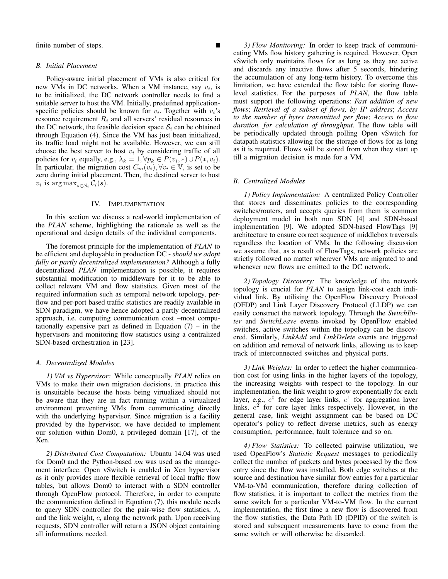finite number of steps.

#### *B. Initial Placement*

Policy-aware initial placement of VMs is also critical for new VMs in DC networks. When a VM instance, say  $v_i$ , is to be initialized, the DC network controller needs to find a suitable server to host the VM. Initially, predefined applicationspecific policies should be known for  $v_i$ . Together with  $v_i$ 's resource requirement  $R_i$  and all servers' residual resources in the DC network, the feasible decision space  $S_i$  can be obtained through Equation (4). Since the VM has just been initialized, its traffic load might not be available. However, we can still choose the best server to host  $v_i$  by considering traffic of all policies for  $v_i$  equally, e.g.,  $\lambda_k = 1, \forall p_k \in P(v_i, *) \cup P(*, v_i)$ . In particular, the migration cost  $C_m(v_i), \forall v_i \in \mathbb{V}$ , is set to be zero during initial placement. Then, the destined server to host  $v_i$  is  $\arg \max_{s \in \mathcal{S}_i} \mathcal{C}_i(s)$ .

## IV. IMPLEMENTATION

In this section we discuss a real-world implementation of the *PLAN* scheme, highlighting the rationale as well as the operational and design details of the individual components.

The foremost principle for the implementation of *PLAN* to be efficient and deployable in production DC - *should we adopt fully or partly decentralized implementation?* Although a fully decentralized *PLAN* implementation is possible, it requires substantial modification to middleware for it to be able to collect relevant VM and flow statistics. Given most of the required information such as temporal network topology, perflow and per-port based traffic statistics are readily available in SDN paradigm, we have hence adopted a partly decentralized approach, i.e. computing communication cost –most computationally expensive part as defined in Equation  $(7)$  – in the hypervisors and monitoring flow statistics using a centralized SDN-based orchestration in [23].

### *A. Decentralized Modules*

*1) VM vs Hypervisor:* While conceptually *PLAN* relies on VMs to make their own migration decisions, in practice this is unsuitable because the hosts being virtualized should not be aware that they are in fact running within a virtualized environment preventing VMs from communicating directly with the underlying hypervisor. Since migration is a facility provided by the hypervisor, we have decided to implement our solution within Dom0, a privileged domain [17], of the Xen.

*2) Distributed Cost Computation:* Ubuntu 14.04 was used for Dom0 and the Python-based *xm* was used as the management interface. Open vSwitch is enabled in Xen hypervisor as it only provides more flexible retrieval of local traffic flow tables, but allows Dom0 to interact with a SDN controller through OpenFlow protocol. Therefore, in order to compute the communication defined in Equation (7), this module needs to query SDN controller for the pair-wise flow statistics,  $\lambda$ , and the link weight,  $c$ , along the network path. Upon receiving requests, SDN controller will return a JSON object containing all informations needed.

*3) Flow Monitoring:* In order to keep track of communicating VMs flow history gathering is required. However, Open vSwitch only maintains flows for as long as they are active and discards any inactive flows after 5 seconds, hindering the accumulation of any long-term history. To overcome this limitation, we have extended the flow table for storing flowlevel statistics. For the purposes of *PLAN*, the flow table must support the following operations: *Fast addition of new flows*; *Retrieval of a subset of flows, by IP address*; *Access to the number of bytes transmitted per flow*; *Access to flow duration, for calculation of throughput*. The flow table will be periodically updated through polling Open vSwitch for datapath statistics allowing for the storage of flows for as long as it is required. Flows will be stored from when they start up till a migration decision is made for a VM.

#### *B. Centralized Modules*

*1) Policy Implementation:* A centralized Policy Controller that stores and disseminates policies to the corresponding switches/routers, and accepts queries from them is common deployment model in both non SDN [4] and SDN-based implementation [9]. We adopted SDN-based FlowTags [9] architecture to ensure correct sequence of middlebox traversals regardless the location of VMs. In the following discussion we assume that, as a result of FlowTags, network policies are strictly followed no matter wherever VMs are migrated to and whenever new flows are emitted to the DC network.

*2) Topology Discovery:* The knowledge of the network topology is crucial for *PLAN* to assign link-cost each individual link. By utilising the OpenFlow Discovery Protocol (OFDP) and Link Layer Discovery Protocol (LLDP) we can easily construct the network topology. Through the *SwitchEnter* and *SwitchLeave* events invoked by OpenFlow enabled switches, active switches within the topology can be discovered. Similarly, *LinkAdd* and *LinkDelete* events are triggered on addition and removal of network links, allowing us to keep track of interconnected switches and physical ports.

*3) Link Weights:* In order to reflect the higher communication cost for using links in the higher layers of the topology, the increasing weights with respect to the topology. In our implementation, the link weight to grow exponentially for each layer, e.g.,  $e^0$  for edge layer links,  $e^1$  for aggregation layer links,  $e^2$  for core layer links respectively. However, in the general case, link weight assignment can be based on DC operator's policy to reflect diverse metrics, such as energy consumption, performance, fault tolerance and so on.

*4) Flow Statistics:* To collected pairwise utilization, we used OpenFlow's *Statistic Request* messages to periodically collect the number of packets and bytes processed by the flow entry since the flow was installed. Both edge switches at the source and destination have similar flow entries for a particular VM-to-VM communication, therefore during collection of flow statistics, it is important to collect the metrics from the same switch for a particular VM-to-VM flow. In the current implementation, the first time a new flow is discovered from the flow statistics, the Data Path ID (DPID) of the switch is stored and subsequent measurements have to come from the same switch or will otherwise be discarded.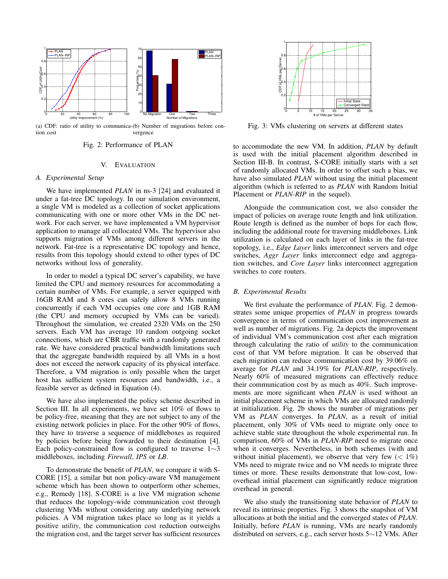

(a) CDF: ratio of utility to communica-(b) Number of migrations before contion cost vergence

## Fig. 2: Performance of PLAN

# V. EVALUATION

#### *A. Experimental Setup*

We have implemented *PLAN* in ns-3 [24] and evaluated it under a fat-tree DC topology. In our simulation environment, a single VM is modeled as a collection of socket applications communicating with one or more other VMs in the DC network. For each server, we have implemented a VM hypervisor application to manage all collocated VMs. The hypervisor also supports migration of VMs among different servers in the network. Fat-tree is a representative DC topology and hence, results from this topology should extend to other types of DC networks without loss of generality.

In order to model a typical DC server's capability, we have limited the CPU and memory resources for accommodating a certain number of VMs. For example, a server equipped with 16GB RAM and 8 cores can safely allow 8 VMs running concurrently if each VM occupies one core and 1GB RAM (the CPU and memory occupied by VMs can be varied). Throughout the simulation, we created 2320 VMs on the 250 servers. Each VM has average 10 random outgoing socket connections, which are CBR traffic with a randomly generated rate. We have considered practical bandwidth limitations such that the aggregate bandwidth required by all VMs in a host does not exceed the network capacity of its physical interface. Therefore, a VM migration is only possible when the target host has sufficient system resources and bandwidth, i.e., a feasible server as defined in Equation (4).

We have also implemented the policy scheme described in Section III. In all experiments, we have set 10% of flows to be policy-free, meaning that they are not subject to any of the existing network policies in place. For the other 90% of flows, they have to traverse a sequence of middleboxes as required by policies before being forwarded to their destination [4]. Each policy-constrained flow is configured to traverse  $1~\sim 3$ middleboxes, including *Firewall*, *IPS* or *LB*.

To demonstrate the benefit of *PLAN*, we compare it with S-CORE [15], a similar but non policy-aware VM management scheme which has been shown to outperform other schemes, e.g., Remedy [18]. S-CORE is a live VM migration scheme that reduces the topology-wide communication cost through clustering VMs without considering any underlying network policies. A VM migration takes place so long as it yields a positive *utility*, the communication cost reduction outweighs the migration cost, and the target server has sufficient resources



Fig. 3: VMs clustering on servers at different states

to accommodate the new VM. In addition, *PLAN* by default is used with the initial placement algorithm described in Section III-B. In contrast, S-CORE initially starts with a set of randomly allocated VMs. In order to offset such a bias, we have also simulated *PLAN* without using the initial placement algorithm (which is referred to as *PLAN* with Random Initial Placement or *PLAN-RIP* in the sequel).

Alongside the communication cost, we also consider the impact of policies on average route length and link utilization. Route length is defined as the number of hops for each flow, including the additional route for traversing middleboxes. Link utilization is calculated on each layer of links in the fat-tree topology, i.e., *Edge Layer* links interconnect servers and edge switches, *Aggr Layer* links interconnect edge and aggregation switches, and *Core Layer* links interconnect aggregation switches to core routers.

#### *B. Experimental Results*

We first evaluate the performance of *PLAN*. Fig. 2 demonstrates some unique properties of *PLAN* in progress towards convergence in terms of communication cost improvement as well as number of migrations. Fig. 2a depicts the improvement of individual VM's communication cost after each migration through calculating the ratio of *utility* to the communication cost of that VM before migration. It can be observed that each migration can reduce communication cost by 39.06% on average for *PLAN* and 34.19% for *PLAN-RIP*, respectively. Nearly 60% of measured migrations can effectively reduce their communication cost by as much as 40%. Such improvements are more significant when *PLAN* is used without an initial placement scheme in which VMs are allocated randomly at initialization. Fig. 2b shows the number of migrations per VM as *PLAN* converges. In *PLAN*, as a result of initial placement, only 30% of VMs need to migrate only once to achieve stable state throughout the whole experimental run. In comparison, 60% of VMs in *PLAN-RIP* need to migrate once when it converges. Nevertheless, in both schemes (with and without initial placement), we observe that very few  $(< 1\%)$ VMs need to migrate twice and no VM needs to migrate three times or more. These results demonstrate that low-cost, lowoverhead initial placement can significantly reduce migration overhead in general.

We also study the transitioning state behavior of *PLAN* to reveal its intrinsic properties. Fig. 3 shows the snapshot of VM allocations at both the initial and the converged states of *PLAN*. Initially, before *PLAN* is running, VMs are nearly randomly distributed on servers, e.g., each server hosts 5∼12 VMs. After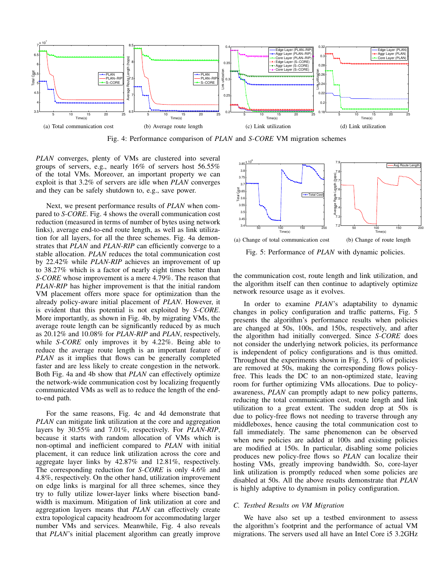

Fig. 4: Performance comparison of *PLAN* and *S-CORE* VM migration schemes

*PLAN* converges, plenty of VMs are clustered into several groups of servers, e.g., nearly 16% of servers host 56.55% of the total VMs. Moreover, an important property we can exploit is that 3.2% of servers are idle when *PLAN* converges and they can be safely shutdown to, e.g., save power.

Next, we present performance results of *PLAN* when compared to *S-CORE*. Fig. 4 shows the overall communication cost reduction (measured in terms of number of bytes using network links), average end-to-end route length, as well as link utilization for all layers, for all the three schemes. Fig. 4a demonstrates that *PLAN* and *PLAN-RIP* can efficiently converge to a stable allocation. *PLAN* reduces the total communication cost by 22.42% while *PLAN-RIP* achieves an improvement of up to 38.27% which is a factor of nearly eight times better than *S-CORE* whose improvement is a mere 4.79%. The reason that *PLAN-RIP* has higher improvement is that the initial random VM placement offers more space for optimization than the already policy-aware initial placement of *PLAN*. However, it is evident that this potential is not exploited by *S-CORE*. More importantly, as shown in Fig. 4b, by migrating VMs, the average route length can be significantly reduced by as much as 20.12% and 10.08% for *PLAN-RIP* and *PLAN*, respectively, while *S-CORE* only improves it by 4.22%. Being able to reduce the average route length is an important feature of *PLAN* as it implies that flows can be generally completed faster and are less likely to create congestion in the network. Both Fig. 4a and 4b show that *PLAN* can effectively optimize the network-wide communication cost by localizing frequently communicated VMs as well as to reduce the length of the endto-end path.

For the same reasons, Fig. 4c and 4d demonstrate that *PLAN* can mitigate link utilization at the core and aggregation layers by 30.55% and 7.01%, respectively. For *PLAN-RIP*, because it starts with random allocation of VMs which is non-optimal and inefficient compared to *PLAN* with initial placement, it can reduce link utilization across the core and aggregate layer links by 42.87% and 12.81%, respectively. The corresponding reduction for *S-CORE* is only 4.6% and 4.8%, respectively. On the other hand, utilization improvement on edge links is marginal for all three schemes, since they try to fully utilize lower-layer links where bisection bandwidth is maximum. Mitigation of link utilization at core and aggregation layers means that *PLAN* can effectively create extra topological capacity headroom for accommodating larger number VMs and services. Meanwhile, Fig. 4 also reveals that *PLAN*'s initial placement algorithm can greatly improve



Fig. 5: Performance of *PLAN* with dynamic policies.

the communication cost, route length and link utilization, and the algorithm itself can then continue to adaptively optimize network resource usage as it evolves.

In order to examine *PLAN*'s adaptability to dynamic changes in policy configuration and traffic patterns, Fig. 5 presents the algorithm's performance results when policies are changed at 50s, 100s, and 150s, respectively, and after the algorithm had initially converged. Since *S-CORE* does not consider the underlying network policies, its performance is independent of policy configurations and is thus omitted. Throughout the experiments shown in Fig. 5, 10% of policies are removed at 50s, making the corresponding flows policyfree. This leads the DC to an non-optimized state, leaving room for further optimizing VMs allocations. Due to policyawareness, *PLAN* can promptly adapt to new policy patterns, reducing the total communication cost, route length and link utilization to a great extent. The sudden drop at 50s is due to policy-free flows not needing to traverse through any middleboxes, hence causing the total communication cost to fall immediately. The same phenomenon can be observed when new policies are added at 100s and existing policies are modified at 150s. In particular, disabling some policies produces new policy-free flows so *PLAN* can localize their hosting VMs, greatly improving bandwidth. So, core-layer link utilization is promptly reduced when some policies are disabled at 50s. All the above results demonstrate that *PLAN* is highly adaptive to dynamism in policy configuration.

## *C. Testbed Results on VM Migration*

We have also set up a testbed environment to assess the algorithm's footprint and the performance of actual VM migrations. The servers used all have an Intel Core i5 3.2GHz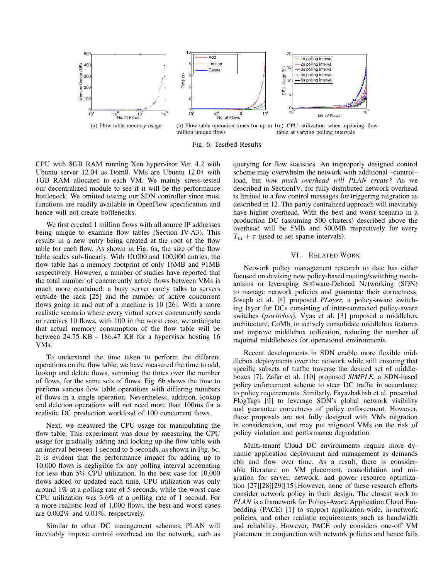

Fig. 6: Testbed Results

CPU with 8GB RAM running Xen hypervisor Ver. 4.2 with Ubuntu server 12.04 as Dom0. VMs are Ubuntu 12.04 with 1GB RAM allocated to each VM. We mainly stress-tested our decentralized module to see if it will be the performance bottleneck. We omitted testing our SDN controller since most functions are readily available in OpenFlow specification and hence will not create bottlenecks.

We first created 1 million flows with all source IP addresses being unique to examine flow tables (Section IV-A3). This results in a new entry being created at the root of the flow table for each flow. As shown in Fig. 6a, the size of the flow table scales sub-linearly. With 10,000 and 100,000 entries, the flow table has a memory footprint of only 16MB and 91MB respectively. However, a number of studies have reported that the total number of concurrently active flows between VMs is much more contained: a busy server rarely talks to servers outside the rack [25] and the number of active concurrent flows going in and out of a machine is 10 [26]. With a more realistic scenario where every virtual server concurrently sends or receives 10 flows, with 100 in the worst case, we anticipate that actual memory consumption of the flow table will be between 24.75 KB - 186.47 KB for a hypervisor hosting 16 VMs.

To understand the time taken to perform the different operations on the flow table, we have measured the time to add, lookup and delete flows, summing the times over the number of flows, for the same sets of flows. Fig. 6b shows the time to perform various flow table operations with differing numbers of flows in a single operation. Nevertheless, addition, lookup and deletion operations will not need more than 100ms for a realistic DC production workload of 100 concurrent flows.

Next, we measured the CPU usage for manipulating the flow table. This experiment was done by measuring the CPU usage for gradually adding and looking up the flow table with an interval between 1 second to 5 seconds, as shown in Fig. 6c. It is evident that the performance impact for adding up to 10,000 flows is negligible for any polling interval accounting for less than 5% CPU utilization. In the best case for 10,000 flows added or updated each time, CPU utilization was only around 1% at a polling rate of 5 seconds, while the worst case CPU utilization was 3.6% at a polling rate of 1 second. For a more realistic load of 1,000 flows, the best and worst cases are 0.002% and 0.01%, respectively.

Similar to other DC management schemes, PLAN will inevitably impose control overhead on the network, such as querying for flow statistics. An improperly designed control scheme may overwhelm the network with additional –control– load, but *how much overhead will PLAN create?* As we described in SectionIV, for fully distributed network overhead is limited to a few control messages for triggering migration as described in 12. The partly centralized approach will inevitably have higher overhead. With the best and worst scenario in a production DC (assuming 500 clusters) described above the overhead will be 5MB and 500MB respectively for every  $T_m + \tau$  (used to set sparse intervals).

### VI. RELATED WORK

Network policy management research to date has either focused on devising new policy-based routing/switching mechanisms or leveraging Software-Defined Networking (SDN) to manage network policies and guarantee their correctness. Joseph et al. [4] proposed *PLayer*, a policy-aware switching layer for DCs consisting of inter-connected policy-aware switches (*pswitches*). Vyas et al. [3] proposed a middlebox architecture, CoMb, to actively consolidate middlebox features and improve middlebox utilization, reducing the number of required middleboxes for operational environments.

Recent developments in SDN enable more flexible middlebox deployments over the network while still ensuring that specific subsets of traffic traverse the desired set of middleboxes [7]. Zafar et al. [10] proposed *SIMPLE*, a SDN-based policy enforcement scheme to steer DC traffic in accordance to policy requirements. Similarly, Fayazbakhsh et al. presented FlogTags [9] to leverage SDN's global network visibility and guarantee correctness of policy enforcement. However, these proposals are not fully designed with VMs migration in consideration, and may put migrated VMs on the risk of policy violation and performance degradation.

Multi-tenant Cloud DC environments require more dynamic application deployment and management as demands ebb and flow over time. As a result, there is considerable literature on VM placement, consolidation and migration for server, network, and power resource optimization [27][28][29][15].However, none of these research efforts consider network policy in their design. The closest work to *PLAN* is a framework for Policy-Aware Application Cloud Embedding (PACE) [1] to support application-wide, in-network policies, and other realistic requirements such as bandwidth and reliability. However, PACE only considers one-off VM placement in conjunction with network policies and hence fails